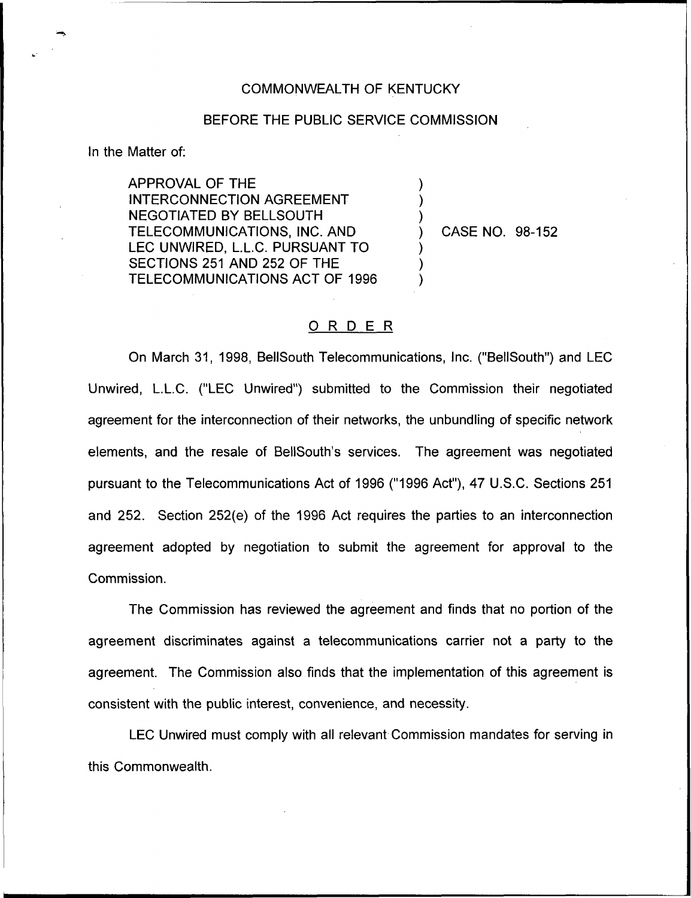## COMMONWEALTH OF KENTUCKY

## BEFORE THE PUBLIC SERVICE COMMISSION

) ) )

) ) )

In the Matter of:

APPROVAL OF THE INTERCONNECTION AGREEMENT NEGOTIATED BY BELLSOUTH TELECOMMUNICATIONS, INC. AND LEC UNWIRED, L.L.C. PURSUANT TO SECTIONS 251 AND 252 OF THE TELECOMMUNICATIONS ACT OF 1996

) CASE NO. 98-152

## ORDER

On March 31, 1998, BellSouth Telecommunications, Inc. ("BellSouth") and LEC Unwired, L.L.C. ("LEC Unwired") submitted to the Commission their negotiate agreement for the interconnection of their networks, the unbundling of specific network elements, and the resale of BellSouth's services. The agreement was negotiated pursuant to the Telecommunications Act of 1996 ("1996 Act"), 47 U.S.C. Sections 251 and 252. Section 252(e) of the 1996 Act requires the parties to an interconnection agreement adopted by negotiation to submit the agreement for approval to the Commission.

The Commission has reviewed the agreement and finds that no portion of the agreement discriminates against a telecommunications carrier not a party to the agreement. The Commission also finds that the implementation of this agreement is consistent with the public interest, convenience, and necessity.

LEC Unwired must comply with all relevant Commission mandates for serving in this Commonwealth.